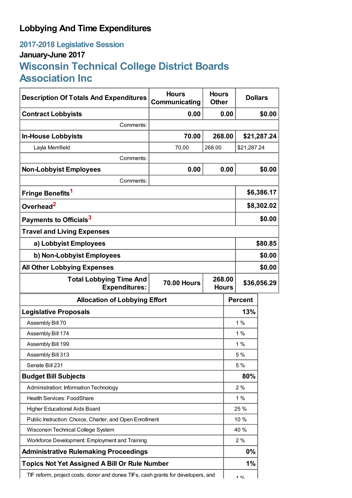## **Lobbying And Time Expenditures**

## **2017-2018 Legislative Session January-June 2017 Wisconsin Technical College District Boards Association Inc**

| <b>Description Of Totals And Expenditures</b>                                    | <b>Hours</b><br>Communicating | <b>Hours</b><br><b>Other</b> |              | <b>Dollars</b> |             |
|----------------------------------------------------------------------------------|-------------------------------|------------------------------|--------------|----------------|-------------|
| <b>Contract Lobbyists</b>                                                        | 0.00                          |                              | 0.00         |                | \$0.00      |
| Comments:                                                                        |                               |                              |              |                |             |
| <b>In-House Lobbyists</b>                                                        | 70.00                         | 268.00                       |              |                | \$21,287.24 |
| Layla Merrifield                                                                 | 70.00                         | 268.00                       |              | \$21,287.24    |             |
| Comments:                                                                        |                               |                              |              |                |             |
| <b>Non-Lobbyist Employees</b>                                                    | 0.00                          |                              | 0.00         |                | \$0.00      |
| Comments:                                                                        |                               |                              |              |                |             |
| Fringe Benefits <sup>1</sup>                                                     |                               |                              |              | \$6,386.17     |             |
| Overhead <sup>2</sup>                                                            |                               |                              |              | \$8,302.02     |             |
| Payments to Officials <sup>3</sup>                                               |                               |                              |              | \$0.00         |             |
| <b>Travel and Living Expenses</b>                                                |                               |                              |              |                |             |
| a) Lobbyist Employees                                                            |                               |                              |              | \$80.85        |             |
| b) Non-Lobbyist Employees                                                        |                               |                              |              | \$0.00         |             |
| <b>All Other Lobbying Expenses</b>                                               |                               |                              |              |                | \$0.00      |
| <b>Total Lobbying Time And</b><br><b>Expenditures:</b>                           | <b>70.00 Hours</b>            | 268.00                       | <b>Hours</b> | \$36,056.29    |             |
| <b>Allocation of Lobbying Effort</b>                                             |                               |                              |              | <b>Percent</b> |             |
| <b>Legislative Proposals</b>                                                     |                               |                              |              | 13%            |             |
| Assembly Bill 70                                                                 |                               |                              |              | 1%             |             |
| Assembly Bill 174                                                                |                               |                              |              | 1%             |             |
| Assembly Bill 199                                                                |                               |                              |              | 1%             |             |
| Assembly Bill 313                                                                |                               |                              |              | 5 %            |             |
| Senate Bill 231                                                                  |                               |                              |              | 5 %            |             |
| <b>Budget Bill Subjects</b>                                                      |                               |                              |              | 80%            |             |
| Administration: Information Technology                                           |                               |                              |              | 2%             |             |
| Health Services: FoodShare                                                       |                               |                              |              | 1%             |             |
| <b>Higher Educational Aids Board</b>                                             |                               |                              |              | 25 %           |             |
| Public Instruction: Choice, Charter, and Open Enrollment                         |                               |                              |              | 10 %           |             |
| Wisconsin Technical College System                                               |                               |                              |              | 40 %           |             |
| Workforce Development: Employment and Training                                   |                               |                              |              | 2%             |             |
| <b>Administrative Rulemaking Proceedings</b>                                     |                               |                              |              | 0%             |             |
| <b>Topics Not Yet Assigned A Bill Or Rule Number</b>                             |                               |                              |              | 1%             |             |
| TIF reform, project costs, donor and donee TIFs, cash grants for developers, and |                               |                              |              | 10/            |             |